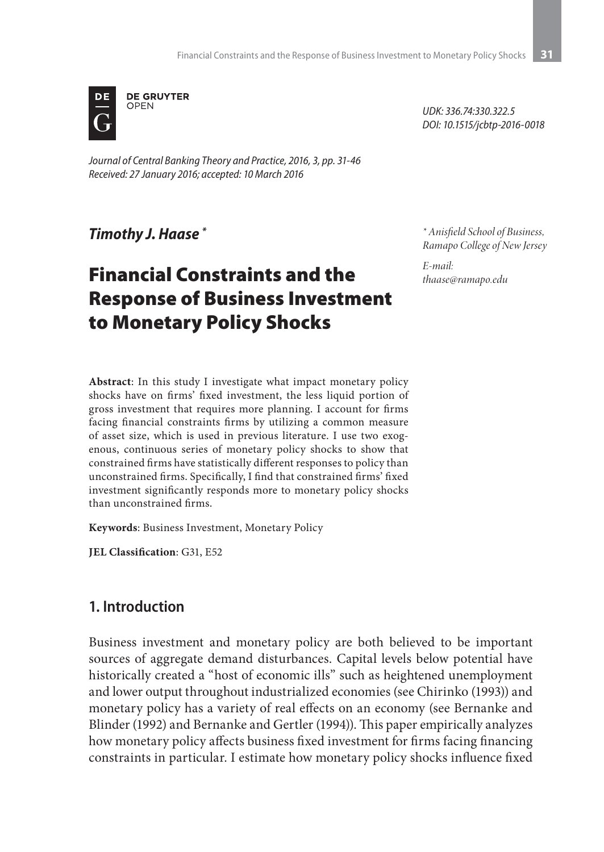

*Journal of Central Banking Theory and Practice, 2016, 3, pp. 31-46 Received: 27 January 2016; accepted: 10 March 2016*

*Timothy J. Haase \**

# Financial Constraints and the Response of Business Investment to Monetary Policy Shocks

**Abstract**: In this study I investigate what impact monetary policy shocks have on firms' fixed investment, the less liquid portion of gross investment that requires more planning. I account for firms facing financial constraints firms by utilizing a common measure of asset size, which is used in previous literature. I use two exogenous, continuous series of monetary policy shocks to show that constrained firms have statistically different responses to policy than unconstrained firms. Specifically, I find that constrained firms' fixed investment significantly responds more to monetary policy shocks than unconstrained firms.

**Keywords**: Business Investment, Monetary Policy

**JEL Classification**: G31, E52

# **1. Introduction**

Business investment and monetary policy are both believed to be important sources of aggregate demand disturbances. Capital levels below potential have historically created a "host of economic ills" such as heightened unemployment and lower output throughout industrialized economies (see Chirinko (1993)) and monetary policy has a variety of real effects on an economy (see Bernanke and Blinder (1992) and Bernanke and Gertler (1994)). This paper empirically analyzes how monetary policy affects business fixed investment for firms facing financing constraints in particular. I estimate how monetary policy shocks influence fixed

*UDK: 336.74:330.322.5 DOI: 10.1515/jcbtp-2016-0018*

*\* Anisfield School of Business, Ramapo College of New Jersey*

*E-mail: thaase@ramapo.edu*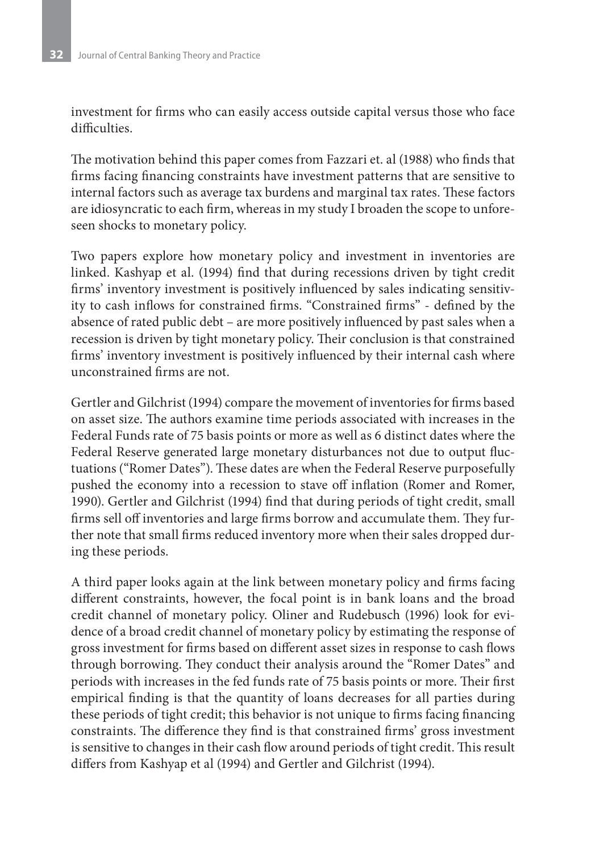investment for firms who can easily access outside capital versus those who face difficulties.

The motivation behind this paper comes from Fazzari et. al (1988) who finds that firms facing financing constraints have investment patterns that are sensitive to internal factors such as average tax burdens and marginal tax rates. These factors are idiosyncratic to each firm, whereas in my study I broaden the scope to unforeseen shocks to monetary policy.

Two papers explore how monetary policy and investment in inventories are linked. Kashyap et al. (1994) find that during recessions driven by tight credit firms' inventory investment is positively influenced by sales indicating sensitivity to cash inflows for constrained firms. "Constrained firms" - defined by the absence of rated public debt – are more positively influenced by past sales when a recession is driven by tight monetary policy. Their conclusion is that constrained firms' inventory investment is positively influenced by their internal cash where unconstrained firms are not.

Gertler and Gilchrist (1994) compare the movement of inventories for firms based on asset size. The authors examine time periods associated with increases in the Federal Funds rate of 75 basis points or more as well as 6 distinct dates where the Federal Reserve generated large monetary disturbances not due to output fluctuations ("Romer Dates"). These dates are when the Federal Reserve purposefully pushed the economy into a recession to stave off inflation (Romer and Romer, 1990). Gertler and Gilchrist (1994) find that during periods of tight credit, small firms sell off inventories and large firms borrow and accumulate them. They further note that small firms reduced inventory more when their sales dropped during these periods.

A third paper looks again at the link between monetary policy and firms facing different constraints, however, the focal point is in bank loans and the broad credit channel of monetary policy. Oliner and Rudebusch (1996) look for evidence of a broad credit channel of monetary policy by estimating the response of gross investment for firms based on different asset sizes in response to cash flows through borrowing. They conduct their analysis around the "Romer Dates" and periods with increases in the fed funds rate of 75 basis points or more. Their first empirical finding is that the quantity of loans decreases for all parties during these periods of tight credit; this behavior is not unique to firms facing financing constraints. The difference they find is that constrained firms' gross investment is sensitive to changes in their cash flow around periods of tight credit. This result differs from Kashyap et al (1994) and Gertler and Gilchrist (1994).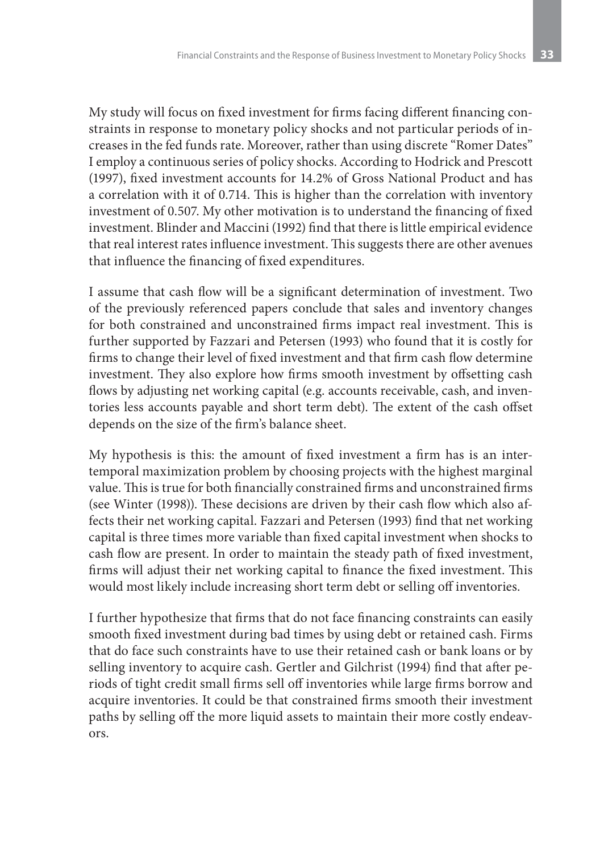My study will focus on fixed investment for firms facing different financing constraints in response to monetary policy shocks and not particular periods of increases in the fed funds rate. Moreover, rather than using discrete "Romer Dates" I employ a continuous series of policy shocks. According to Hodrick and Prescott (1997), fixed investment accounts for 14.2% of Gross National Product and has a correlation with it of 0.714. This is higher than the correlation with inventory investment of 0.507. My other motivation is to understand the financing of fixed investment. Blinder and Maccini (1992) find that there is little empirical evidence that real interest rates influence investment. This suggests there are other avenues that influence the financing of fixed expenditures.

I assume that cash flow will be a significant determination of investment. Two of the previously referenced papers conclude that sales and inventory changes for both constrained and unconstrained firms impact real investment. This is further supported by Fazzari and Petersen (1993) who found that it is costly for firms to change their level of fixed investment and that firm cash flow determine investment. They also explore how firms smooth investment by offsetting cash flows by adjusting net working capital (e.g. accounts receivable, cash, and inventories less accounts payable and short term debt). The extent of the cash offset depends on the size of the firm's balance sheet.

My hypothesis is this: the amount of fixed investment a firm has is an intertemporal maximization problem by choosing projects with the highest marginal value. This is true for both financially constrained firms and unconstrained firms (see Winter (1998)). These decisions are driven by their cash flow which also affects their net working capital. Fazzari and Petersen (1993) find that net working capital is three times more variable than fixed capital investment when shocks to cash flow are present. In order to maintain the steady path of fixed investment, firms will adjust their net working capital to finance the fixed investment. This would most likely include increasing short term debt or selling off inventories.

I further hypothesize that firms that do not face financing constraints can easily smooth fixed investment during bad times by using debt or retained cash. Firms that do face such constraints have to use their retained cash or bank loans or by selling inventory to acquire cash. Gertler and Gilchrist (1994) find that after periods of tight credit small firms sell off inventories while large firms borrow and acquire inventories. It could be that constrained firms smooth their investment paths by selling off the more liquid assets to maintain their more costly endeavors.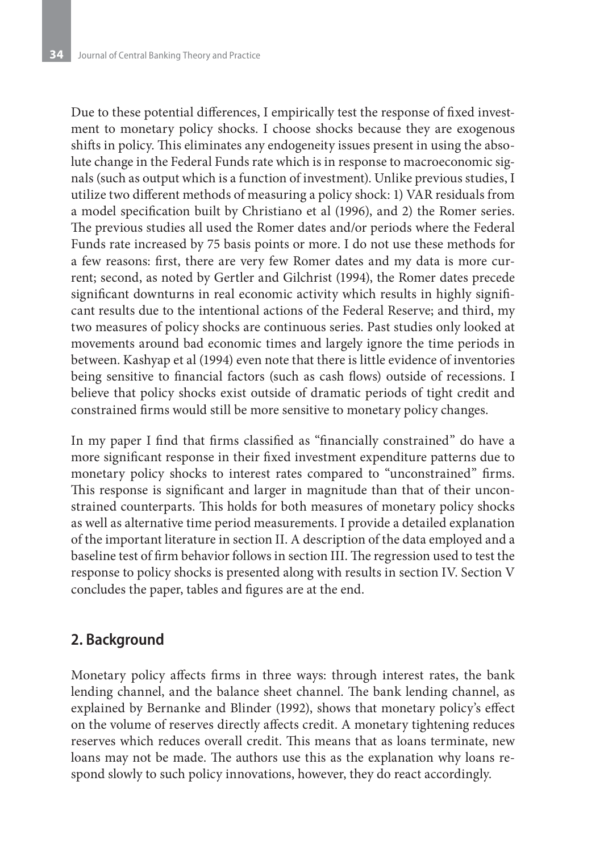Due to these potential differences, I empirically test the response of fixed investment to monetary policy shocks. I choose shocks because they are exogenous shifts in policy. This eliminates any endogeneity issues present in using the absolute change in the Federal Funds rate which is in response to macroeconomic signals (such as output which is a function of investment). Unlike previous studies, I utilize two different methods of measuring a policy shock: 1) VAR residuals from a model specification built by Christiano et al (1996), and 2) the Romer series. The previous studies all used the Romer dates and/or periods where the Federal Funds rate increased by 75 basis points or more. I do not use these methods for a few reasons: first, there are very few Romer dates and my data is more current; second, as noted by Gertler and Gilchrist (1994), the Romer dates precede significant downturns in real economic activity which results in highly significant results due to the intentional actions of the Federal Reserve; and third, my two measures of policy shocks are continuous series. Past studies only looked at movements around bad economic times and largely ignore the time periods in between. Kashyap et al (1994) even note that there is little evidence of inventories being sensitive to financial factors (such as cash flows) outside of recessions. I believe that policy shocks exist outside of dramatic periods of tight credit and constrained firms would still be more sensitive to monetary policy changes.

In my paper I find that firms classified as "financially constrained" do have a more significant response in their fixed investment expenditure patterns due to monetary policy shocks to interest rates compared to "unconstrained" firms. This response is significant and larger in magnitude than that of their unconstrained counterparts. This holds for both measures of monetary policy shocks as well as alternative time period measurements. I provide a detailed explanation of the important literature in section II. A description of the data employed and a baseline test of firm behavior follows in section III. The regression used to test the response to policy shocks is presented along with results in section IV. Section V concludes the paper, tables and figures are at the end.

# **2. Background**

Monetary policy affects firms in three ways: through interest rates, the bank lending channel, and the balance sheet channel. The bank lending channel, as explained by Bernanke and Blinder (1992), shows that monetary policy's effect on the volume of reserves directly affects credit. A monetary tightening reduces reserves which reduces overall credit. This means that as loans terminate, new loans may not be made. The authors use this as the explanation why loans respond slowly to such policy innovations, however, they do react accordingly.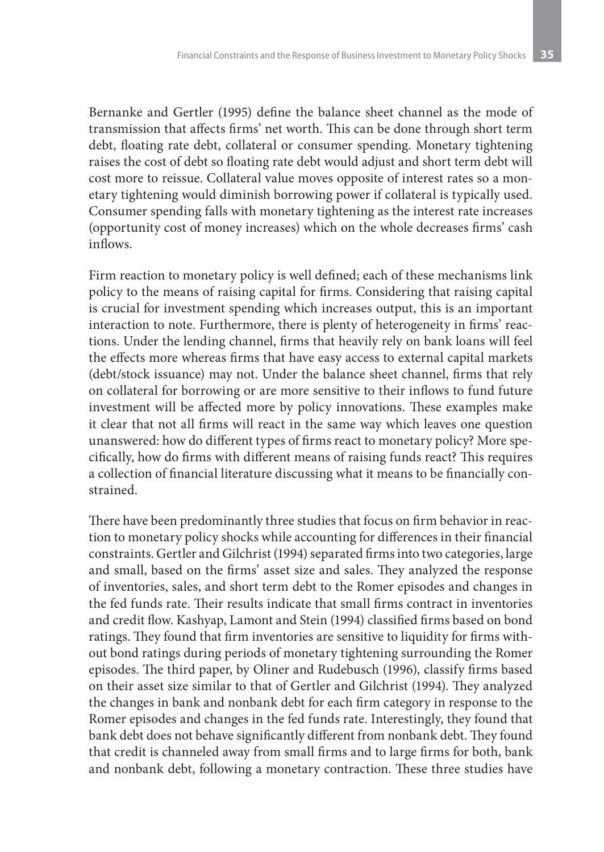Bernanke and Gertler (1995) define the balance sheet channel as the mode of transmission that affects firms' net worth. This can be done through short term debt, floating rate debt, collateral or consumer spending. Monetary tightening raises the cost of debt so floating rate debt would adjust and short term debt will cost more to reissue. Collateral value moves opposite of interest rates so a monetary tightening would diminish borrowing power if collateral is typically used. Consumer spending falls with monetary tightening as the interest rate increases (opportunity cost of money increases) which on the whole decreases firms' cash inflows.

Firm reaction to monetary policy is well defined; each of these mechanisms link policy to the means of raising capital for firms. Considering that raising capital is crucial for investment spending which increases output, this is an important interaction to note. Furthermore, there is plenty of heterogeneity in firms' reactions. Under the lending channel, firms that heavily rely on bank loans will feel the effects more whereas firms that have easy access to external capital markets (debt/stock issuance) may not. Under the balance sheet channel, firms that rely on collateral for borrowing or are more sensitive to their inflows to fund future investment will be affected more by policy innovations. These examples make it clear that not all firms will react in the same way which leaves one question unanswered: how do different types of firms react to monetary policy? More specifically, how do firms with different means of raising funds react? This requires a collection of financial literature discussing what it means to be financially constrained.

There have been predominantly three studies that focus on firm behavior in reaction to monetary policy shocks while accounting for differences in their financial constraints. Gertler and Gilchrist (1994) separated firms into two categories, large and small, based on the firms' asset size and sales. They analyzed the response of inventories, sales, and short term debt to the Romer episodes and changes in the fed funds rate. Their results indicate that small firms contract in inventories and credit flow. Kashyap, Lamont and Stein (1994) classified firms based on bond ratings. They found that firm inventories are sensitive to liquidity for firms without bond ratings during periods of monetary tightening surrounding the Romer episodes. The third paper, by Oliner and Rudebusch (1996), classify firms based on their asset size similar to that of Gertler and Gilchrist (1994). They analyzed the changes in bank and nonbank debt for each firm category in response to the Romer episodes and changes in the fed funds rate. Interestingly, they found that bank debt does not behave significantly different from nonbank debt. They found that credit is channeled away from small firms and to large firms for both, bank and nonbank debt, following a monetary contraction. These three studies have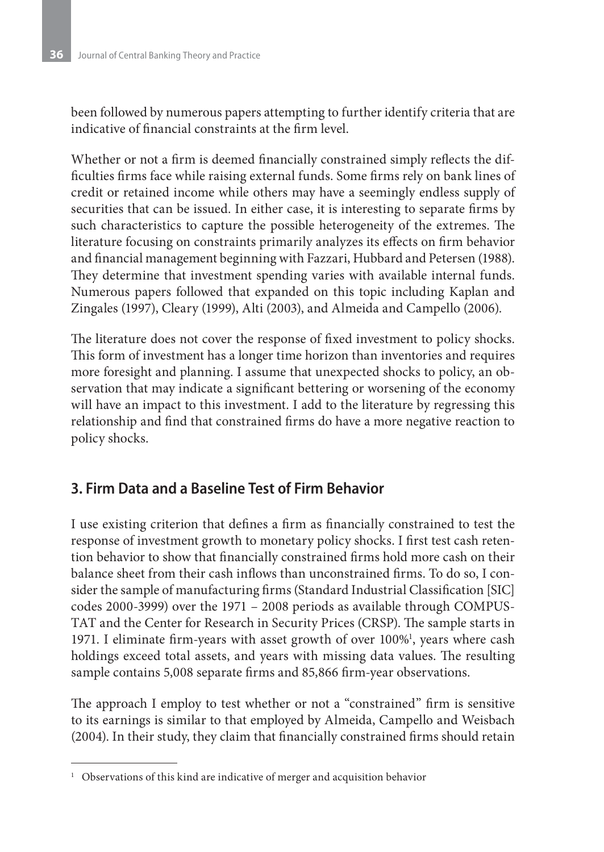been followed by numerous papers attempting to further identify criteria that are indicative of financial constraints at the firm level.

Whether or not a firm is deemed financially constrained simply reflects the difficulties firms face while raising external funds. Some firms rely on bank lines of credit or retained income while others may have a seemingly endless supply of securities that can be issued. In either case, it is interesting to separate firms by such characteristics to capture the possible heterogeneity of the extremes. The literature focusing on constraints primarily analyzes its effects on firm behavior and financial management beginning with Fazzari, Hubbard and Petersen (1988). They determine that investment spending varies with available internal funds. Numerous papers followed that expanded on this topic including Kaplan and Zingales (1997), Cleary (1999), Alti (2003), and Almeida and Campello (2006).

The literature does not cover the response of fixed investment to policy shocks. This form of investment has a longer time horizon than inventories and requires more foresight and planning. I assume that unexpected shocks to policy, an observation that may indicate a significant bettering or worsening of the economy will have an impact to this investment. I add to the literature by regressing this relationship and find that constrained firms do have a more negative reaction to policy shocks.

# **3. Firm Data and a Baseline Test of Firm Behavior**

I use existing criterion that defines a firm as financially constrained to test the response of investment growth to monetary policy shocks. I first test cash retention behavior to show that financially constrained firms hold more cash on their balance sheet from their cash inflows than unconstrained firms. To do so, I consider the sample of manufacturing firms (Standard Industrial Classification [SIC] codes 2000-3999) over the 1971 – 2008 periods as available through COMPUS-TAT and the Center for Research in Security Prices (CRSP). The sample starts in 1971. I eliminate firm-years with asset growth of over 100%<sup>1</sup>, years where cash holdings exceed total assets, and years with missing data values. The resulting sample contains 5,008 separate firms and 85,866 firm-year observations.

The approach I employ to test whether or not a "constrained" firm is sensitive to its earnings is similar to that employed by Almeida, Campello and Weisbach (2004). In their study, they claim that financially constrained firms should retain

 $1$  Observations of this kind are indicative of merger and acquisition behavior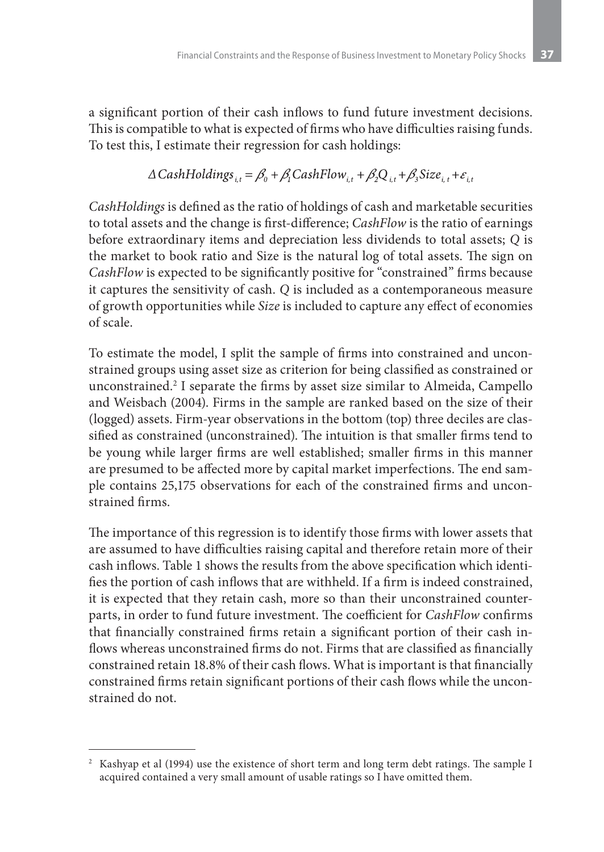a significant portion of their cash inflows to fund future investment decisions. This is compatible to what is expected of firms who have difficulties raising funds. To test this, I estimate their regression for cash holdings:

 $\Delta$ CashHoldings<sub>it</sub> =  $\beta_0 + \beta_1$ CashFlow<sub>it</sub> +  $\beta_2 Q_{i,t} + \beta_3$ Size<sub>it</sub> +  $\varepsilon_{it}$ 

*CashHoldings* is defined as the ratio of holdings of cash and marketable securities to total assets and the change is first-difference; *CashFlow* is the ratio of earnings before extraordinary items and depreciation less dividends to total assets; *Q* is the market to book ratio and Size is the natural log of total assets. The sign on *CashFlow* is expected to be significantly positive for "constrained" firms because it captures the sensitivity of cash. *Q* is included as a contemporaneous measure of growth opportunities while *Size* is included to capture any effect of economies of scale.

To estimate the model, I split the sample of firms into constrained and unconstrained groups using asset size as criterion for being classified as constrained or unconstrained.2 I separate the firms by asset size similar to Almeida, Campello and Weisbach (2004). Firms in the sample are ranked based on the size of their (logged) assets. Firm-year observations in the bottom (top) three deciles are classified as constrained (unconstrained). The intuition is that smaller firms tend to be young while larger firms are well established; smaller firms in this manner are presumed to be affected more by capital market imperfections. The end sample contains 25,175 observations for each of the constrained firms and unconstrained firms.

The importance of this regression is to identify those firms with lower assets that are assumed to have difficulties raising capital and therefore retain more of their cash inflows. Table 1 shows the results from the above specification which identifies the portion of cash inflows that are withheld. If a firm is indeed constrained, it is expected that they retain cash, more so than their unconstrained counterparts, in order to fund future investment. The coefficient for *CashFlow* confirms that financially constrained firms retain a significant portion of their cash inflows whereas unconstrained firms do not. Firms that are classified as financially constrained retain 18.8% of their cash flows. What is important is that financially constrained firms retain significant portions of their cash flows while the unconstrained do not.

<sup>2</sup> Kashyap et al (1994) use the existence of short term and long term debt ratings. The sample I acquired contained a very small amount of usable ratings so I have omitted them.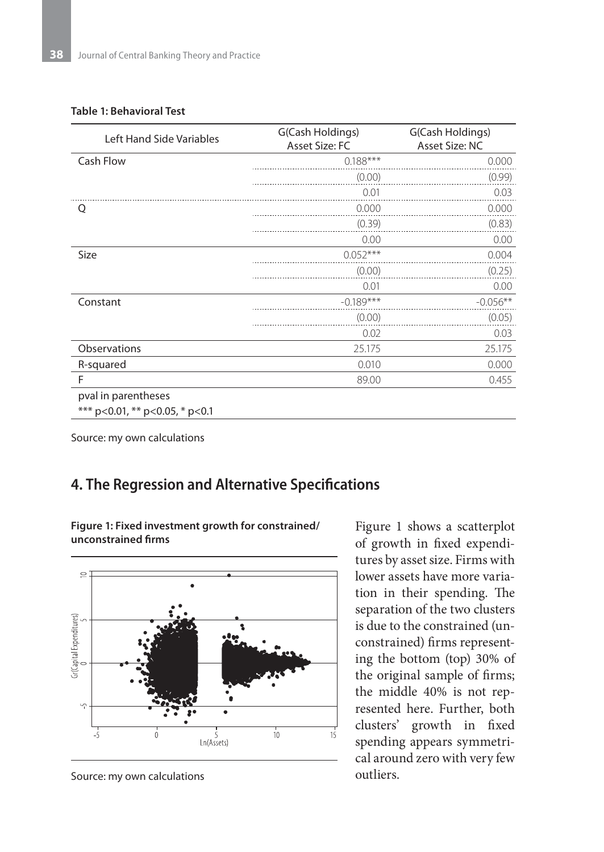#### **Table 1: Behavioral Test**

| Left Hand Side Variables               | G(Cash Holdings)<br>Asset Size: FC | G(Cash Holdings)<br>Asset Size: NC |
|----------------------------------------|------------------------------------|------------------------------------|
| Cash Flow                              | $0.188***$                         | 0.000                              |
|                                        | (0.00)                             | (0.99)                             |
|                                        | 0.01                               | 0.03                               |
| Q                                      | 0.000                              | 0.000                              |
|                                        | (0.39)                             | (0.83)                             |
|                                        | 0.00                               | 0.00                               |
| Size                                   | $0.052***$                         | 0.004                              |
|                                        | (0.00)                             | (0.25)                             |
|                                        | 0.01                               | 0.00                               |
| Constant                               | $-0.189***$                        | $-0.056**$                         |
|                                        | (0.00)                             | (0.05)                             |
|                                        | 0.02                               | 0.03                               |
| Observations                           | 25.175                             | 25.175                             |
| R-squared                              | 0.010                              | 0.000                              |
| F                                      | 89.00                              | 0.455                              |
| pval in parentheses                    |                                    |                                    |
| *** $p<0.01$ , ** $p<0.05$ , * $p<0.1$ |                                    |                                    |

Source: my own calculations

# **4. The Regression and Alternative Specifications**





Source: my own calculations

Figure 1 shows a scatterplot of growth in fixed expenditures by asset size. Firms with lower assets have more variation in their spending. The separation of the two clusters is due to the constrained (unconstrained) firms representing the bottom (top) 30% of the original sample of firms; the middle 40% is not represented here. Further, both clusters' growth in fixed spending appears symmetrical around zero with very few outliers.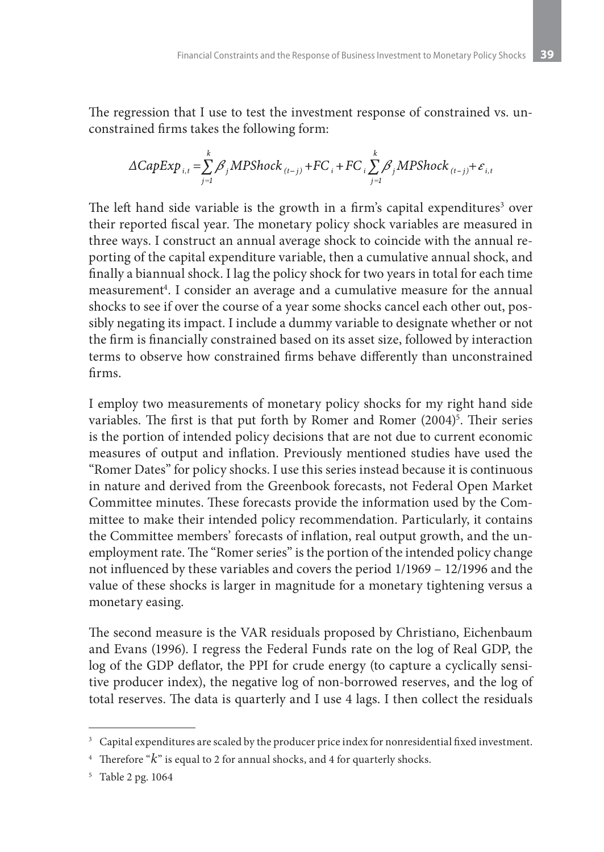The regression that I use to test the investment response of constrained vs. unconstrained firms takes the following form:

$$
\Delta CapExp_{i,t} = \sum_{j=1}^{k} \beta_j MPShock_{(t-j)} + FC_i + FC_i \sum_{j=1}^{k} \beta_j MPShock_{(t-j)} + \varepsilon_{i,t}
$$

The left hand side variable is the growth in a firm's capital expenditures $^3$  over their reported fiscal year. The monetary policy shock variables are measured in three ways. I construct an annual average shock to coincide with the annual reporting of the capital expenditure variable, then a cumulative annual shock, and finally a biannual shock. I lag the policy shock for two years in total for each time measurement<sup>4</sup>. I consider an average and a cumulative measure for the annual shocks to see if over the course of a year some shocks cancel each other out, possibly negating its impact. I include a dummy variable to designate whether or not the firm is financially constrained based on its asset size, followed by interaction terms to observe how constrained firms behave differently than unconstrained firms.

I employ two measurements of monetary policy shocks for my right hand side variables. The first is that put forth by Romer and Romer (2004)<sup>5</sup>. Their series is the portion of intended policy decisions that are not due to current economic measures of output and inflation. Previously mentioned studies have used the "Romer Dates" for policy shocks. I use this series instead because it is continuous in nature and derived from the Greenbook forecasts, not Federal Open Market Committee minutes. These forecasts provide the information used by the Committee to make their intended policy recommendation. Particularly, it contains the Committee members' forecasts of inflation, real output growth, and the unemployment rate. The "Romer series" is the portion of the intended policy change not influenced by these variables and covers the period 1/1969 – 12/1996 and the value of these shocks is larger in magnitude for a monetary tightening versus a monetary easing.

The second measure is the VAR residuals proposed by Christiano, Eichenbaum and Evans (1996). I regress the Federal Funds rate on the log of Real GDP, the log of the GDP deflator, the PPI for crude energy (to capture a cyclically sensitive producer index), the negative log of non-borrowed reserves, and the log of total reserves. The data is quarterly and I use 4 lags. I then collect the residuals

 $^{\rm 3}~$  Capital expenditures are scaled by the producer price index for nonresidential fixed investment.

<sup>4</sup> Therefore "*k*" is equal to 2 for annual shocks, and 4 for quarterly shocks.

<sup>5</sup> Table 2 pg. 1064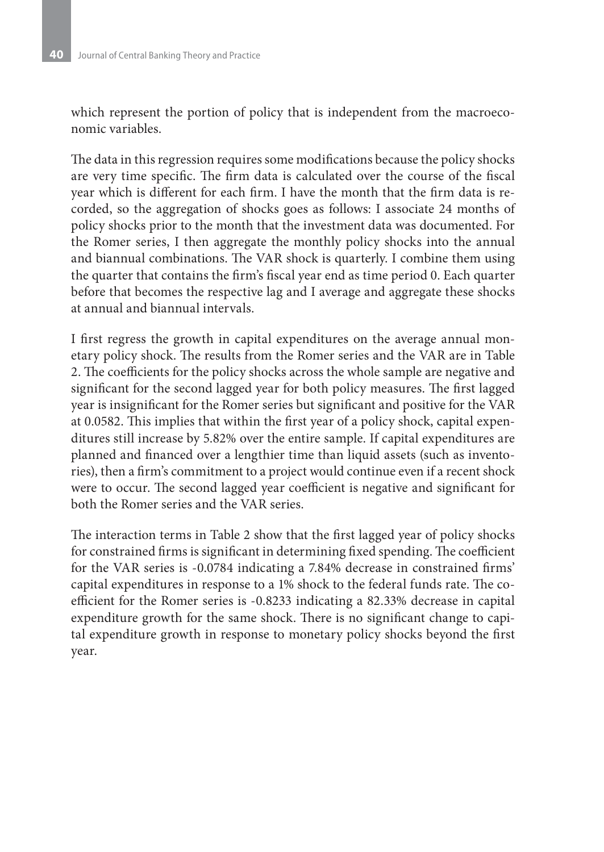which represent the portion of policy that is independent from the macroeconomic variables.

The data in this regression requires some modifications because the policy shocks are very time specific. The firm data is calculated over the course of the fiscal year which is different for each firm. I have the month that the firm data is recorded, so the aggregation of shocks goes as follows: I associate 24 months of policy shocks prior to the month that the investment data was documented. For the Romer series, I then aggregate the monthly policy shocks into the annual and biannual combinations. The VAR shock is quarterly. I combine them using the quarter that contains the firm's fiscal year end as time period 0. Each quarter before that becomes the respective lag and I average and aggregate these shocks at annual and biannual intervals.

I first regress the growth in capital expenditures on the average annual monetary policy shock. The results from the Romer series and the VAR are in Table 2. The coefficients for the policy shocks across the whole sample are negative and significant for the second lagged year for both policy measures. The first lagged year is insignificant for the Romer series but significant and positive for the VAR at 0.0582. This implies that within the first year of a policy shock, capital expenditures still increase by 5.82% over the entire sample. If capital expenditures are planned and financed over a lengthier time than liquid assets (such as inventories), then a firm's commitment to a project would continue even if a recent shock were to occur. The second lagged year coefficient is negative and significant for both the Romer series and the VAR series.

The interaction terms in Table 2 show that the first lagged year of policy shocks for constrained firms is significant in determining fixed spending. The coefficient for the VAR series is -0.0784 indicating a 7.84% decrease in constrained firms' capital expenditures in response to a 1% shock to the federal funds rate. The coefficient for the Romer series is -0.8233 indicating a 82.33% decrease in capital expenditure growth for the same shock. There is no significant change to capital expenditure growth in response to monetary policy shocks beyond the first year.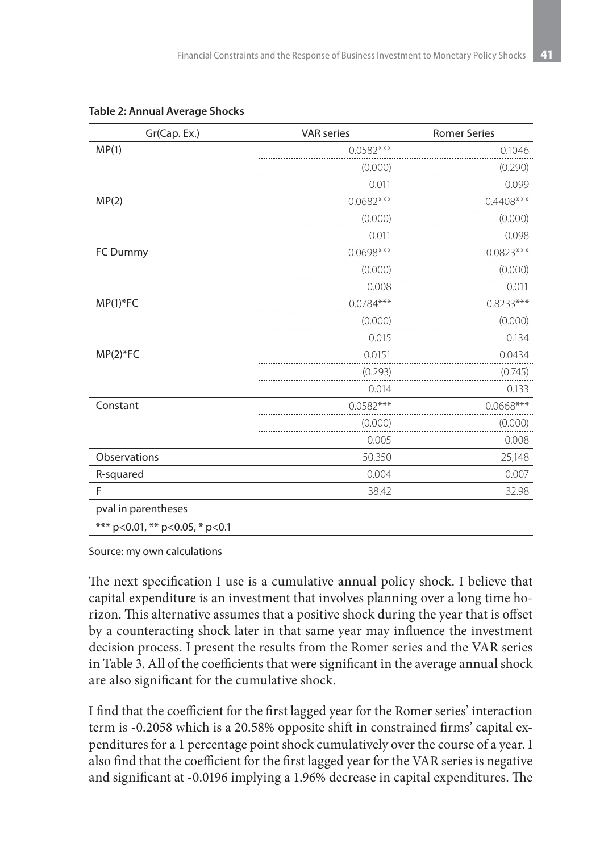| Gr(Cap. Ex.)        | <b>VAR</b> series | <b>Romer Series</b> |
|---------------------|-------------------|---------------------|
| MP(1)               | $0.0582***$       | 0.1046              |
|                     | (0.000)           | (0.290)             |
|                     | 0.011             | 0.099               |
| MP(2)               | $-0.0682***$      | $-0.4408***$        |
|                     | (0.000)           | (0.000)             |
|                     | 0.011             | 0.098               |
| FC Dummy            | $-0.0698***$      | $-0.0823***$        |
|                     | (0.000)           | (0.000)             |
|                     | 0.008             | 0.011               |
| $MP(1)*FC$          | $-0.0784***$      | $-0.8233***$        |
|                     | (0.000)           | (0.000)             |
|                     | 0.015             | 0.134               |
| $MP(2)*FC$          | 0.0151            | 0.0434              |
|                     | (0.293)           | (0.745)             |
|                     | 0.014             | 0.133               |
| Constant            | $0.0582***$       | $0.0668***$         |
|                     | (0.000)           | (0.000)             |
|                     | 0.005             | 0.008               |
| Observations        | 50.350            | 25,148              |
| R-squared           | 0.004             | 0.007               |
| F                   | 38.42             | 32.98               |
| pval in parentheses |                   |                     |

#### **Table 2: Annual Average Shocks**

Source: my own calculations

\*\*\* p<0.01, \*\* p<0.05, \* p<0.1

The next specification I use is a cumulative annual policy shock. I believe that capital expenditure is an investment that involves planning over a long time horizon. This alternative assumes that a positive shock during the year that is offset by a counteracting shock later in that same year may influence the investment decision process. I present the results from the Romer series and the VAR series in Table 3. All of the coefficients that were significant in the average annual shock are also significant for the cumulative shock.

I find that the coefficient for the first lagged year for the Romer series' interaction term is -0.2058 which is a 20.58% opposite shift in constrained firms' capital expenditures for a 1 percentage point shock cumulatively over the course of a year. I also find that the coefficient for the first lagged year for the VAR series is negative and significant at -0.0196 implying a 1.96% decrease in capital expenditures. The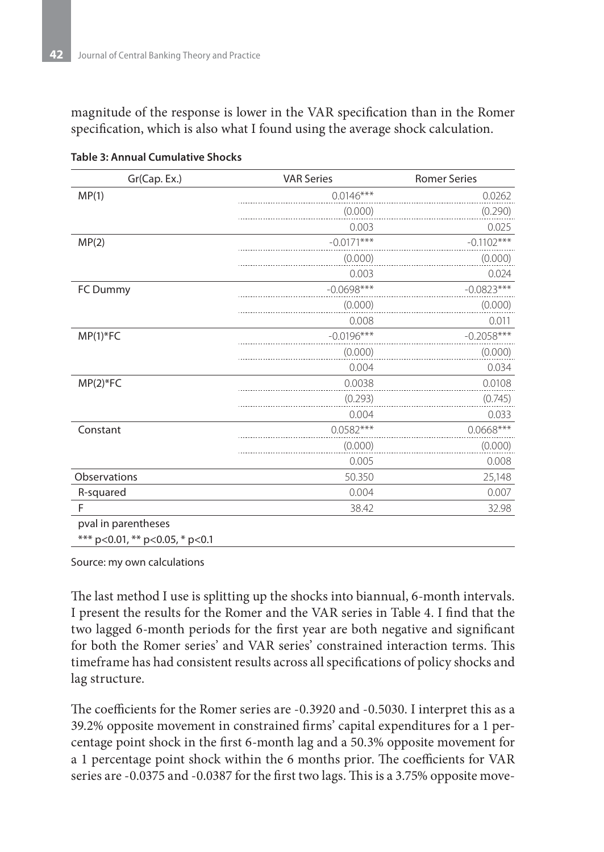magnitude of the response is lower in the VAR specification than in the Romer specification, which is also what I found using the average shock calculation.

| Gr(Cap. Ex.)                           | <b>VAR Series</b> | <b>Romer Series</b> |
|----------------------------------------|-------------------|---------------------|
| MP(1)                                  | $0.0146***$       | 0.0262              |
|                                        | (0.000)           | (0.290)             |
|                                        | 0.003             | 0.025               |
| MP(2)                                  | $-0.0171***$      | $-0.1102***$        |
|                                        | (0.000)           | (0.000)             |
|                                        | 0.003             | 0.024               |
| FC Dummy                               | $-0.0698***$      | $-0.0823***$        |
|                                        | (0.000)           | (0.000)             |
|                                        | 0.008             | 0.011               |
| $MP(1)*FC$                             | $-0.0196***$      | $-0.2058***$        |
|                                        | (0.000)           | (0.000)             |
|                                        | 0.004             | 0.034               |
| $MP(2)*FC$                             | 0.0038            | 0.0108              |
|                                        | (0.293)           | (0.745)             |
|                                        | 0.004             | 0.033               |
| Constant                               | $0.0582***$       | $0.0668***$         |
|                                        | (0.000)           | (0.000)             |
|                                        | 0.005             | 0.008               |
| Observations                           | 50.350            | 25,148              |
| R-squared                              | 0.004             | 0.007               |
| F                                      | 38.42             | 32.98               |
| pval in parentheses                    |                   |                     |
| *** $p<0.01$ , ** $p<0.05$ , * $p<0.1$ |                   |                     |

#### **Table 3: Annual Cumulative Shocks**

Source: my own calculations

The last method I use is splitting up the shocks into biannual, 6-month intervals. I present the results for the Romer and the VAR series in Table 4. I find that the two lagged 6-month periods for the first year are both negative and significant for both the Romer series' and VAR series' constrained interaction terms. This timeframe has had consistent results across all specifications of policy shocks and lag structure.

The coefficients for the Romer series are -0.3920 and -0.5030. I interpret this as a 39.2% opposite movement in constrained firms' capital expenditures for a 1 percentage point shock in the first 6-month lag and a 50.3% opposite movement for a 1 percentage point shock within the 6 months prior. The coefficients for VAR series are -0.0375 and -0.0387 for the first two lags. This is a 3.75% opposite move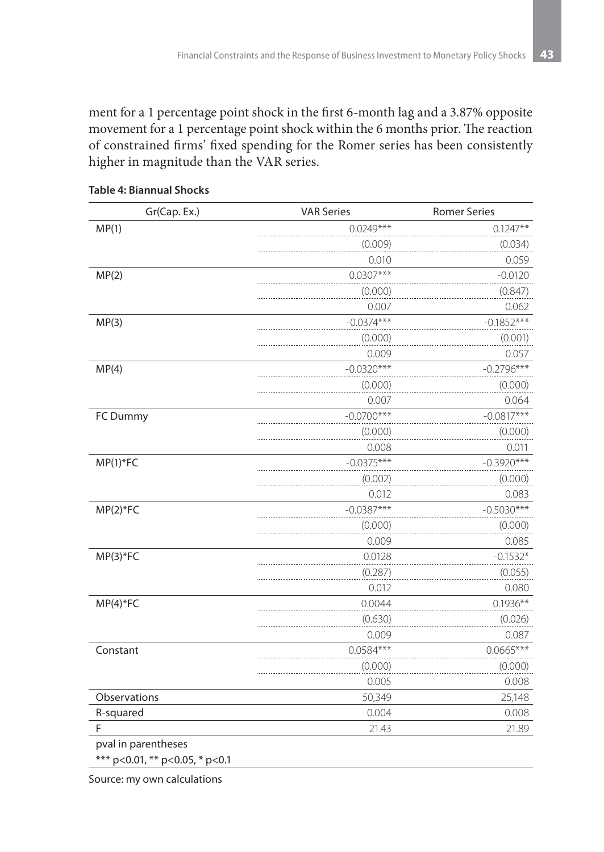ment for a 1 percentage point shock in the first 6-month lag and a 3.87% opposite movement for a 1 percentage point shock within the 6 months prior. The reaction of constrained firms' fixed spending for the Romer series has been consistently higher in magnitude than the VAR series.

| Gr(Cap. Ex.)        | <b>VAR Series</b> | <b>Romer Series</b> |
|---------------------|-------------------|---------------------|
| MP(1)               | $0.0249***$       | $0.1247**$          |
|                     | (0.009)           | (0.034)             |
|                     | 0.010             | 0.059               |
| MP(2)               | $0.0307***$       | $-0.0120$           |
|                     | (0.000)           | (0.847)             |
|                     | 0.007             | 0.062               |
| MP(3)               | $-0.0374***$      | $-0.1852***$        |
|                     | (0.000)           | (0.001)             |
|                     | 0.009             | 0.057               |
| MP(4)               | $-0.0320***$      | $-0.2796***$        |
|                     | (0.000)           | (0.000)             |
|                     | 0.007             | 0.064               |
| FC Dummy            | $-0.0700***$      | $-0.0817***$        |
|                     | (0.000)           | (0.000)             |
|                     | 0.008             | 0.011               |
| $MP(1)*FC$          | $-0.0375***$      | $-0.3920***$        |
|                     | (0.002)           | (0.000)             |
|                     | 0.012             | 0.083               |
| $MP(2)*FC$          | $-0.0387***$      | $-0.5030***$        |
|                     | (0.000)           | (0.000)             |
|                     | 0.009             | 0.085               |
| $MP(3)*FC$          | 0.0128            | $-0.1532*$          |
|                     | (0.287)           | (0.055)             |
|                     | 0.012             | 0.080               |
| $MP(4)*FC$          | 0.0044            | $0.1936**$          |
|                     | (0.630)           | (0.026)             |
|                     | 0.009             | 0.087               |
| Constant            | $0.0584***$       | $0.0665***$         |
|                     | (0.000)           | (0.000)             |
|                     | 0.005             | 0.008               |
| Observations        | 50,349            | 25,148              |
| R-squared           | 0.004             | 0.008               |
| F                   | 21.43             | 21.89               |
| pval in parentheses |                   |                     |

#### **Table 4: Biannual Shocks**

\*\*\* p<0.01, \*\* p<0.05, \* p<0.1

Source: my own calculations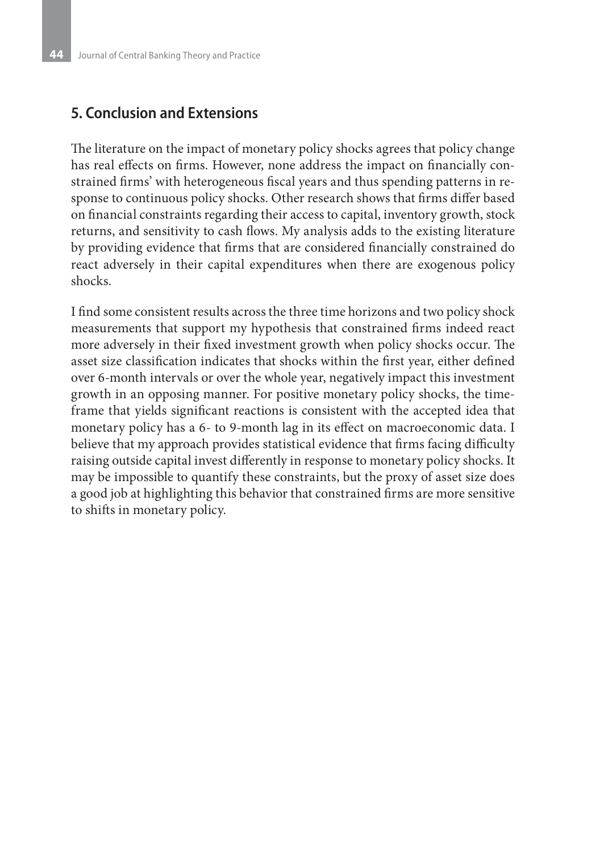### **5. Conclusion and Extensions**

The literature on the impact of monetary policy shocks agrees that policy change has real effects on firms. However, none address the impact on financially constrained firms' with heterogeneous fiscal years and thus spending patterns in response to continuous policy shocks. Other research shows that firms differ based on financial constraints regarding their access to capital, inventory growth, stock returns, and sensitivity to cash flows. My analysis adds to the existing literature by providing evidence that firms that are considered financially constrained do react adversely in their capital expenditures when there are exogenous policy shocks.

I find some consistent results across the three time horizons and two policy shock measurements that support my hypothesis that constrained firms indeed react more adversely in their fixed investment growth when policy shocks occur. The asset size classification indicates that shocks within the first year, either defined over 6-month intervals or over the whole year, negatively impact this investment growth in an opposing manner. For positive monetary policy shocks, the timeframe that yields significant reactions is consistent with the accepted idea that monetary policy has a 6- to 9-month lag in its effect on macroeconomic data. I believe that my approach provides statistical evidence that firms facing difficulty raising outside capital invest differently in response to monetary policy shocks. It may be impossible to quantify these constraints, but the proxy of asset size does a good job at highlighting this behavior that constrained firms are more sensitive to shifts in monetary policy.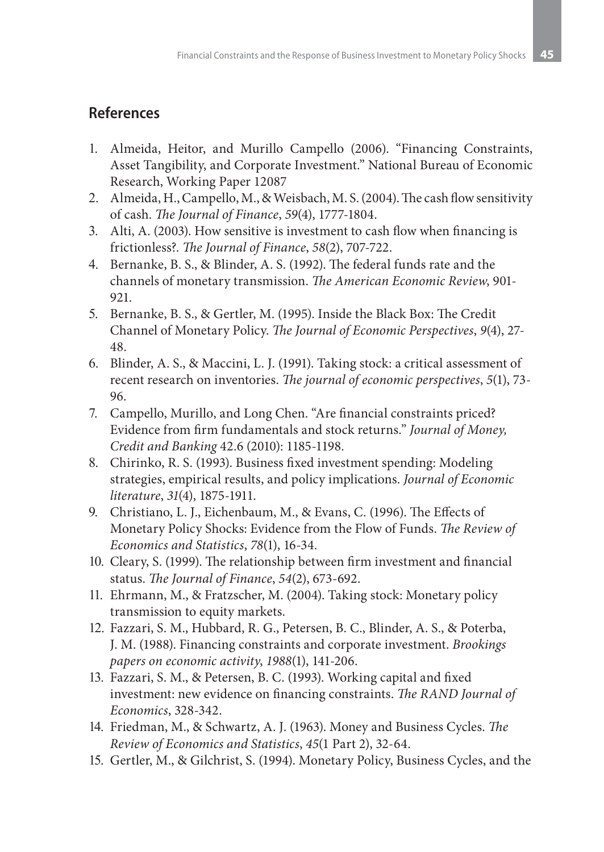# **References**

- 1. Almeida, Heitor, and Murillo Campello (2006). "Financing Constraints, Asset Tangibility, and Corporate Investment." National Bureau of Economic Research, Working Paper 12087
- 2. Almeida, H., Campello, M., & Weisbach, M. S. (2004). The cash flow sensitivity of cash. *The Journal of Finance*, *59*(4), 1777-1804.
- 3. Alti, A. (2003). How sensitive is investment to cash flow when financing is frictionless?. *The Journal of Finance*, *58*(2), 707-722.
- 4. Bernanke, B. S., & Blinder, A. S. (1992). The federal funds rate and the channels of monetary transmission. *The American Economic Review*, 901- 921.
- 5. Bernanke, B. S., & Gertler, M. (1995). Inside the Black Box: The Credit Channel of Monetary Policy. *The Journal of Economic Perspectives*, *9*(4), 27- 48.
- 6. Blinder, A. S., & Maccini, L. J. (1991). Taking stock: a critical assessment of recent research on inventories. *The journal of economic perspectives*, *5*(1), 73- 96.
- 7. Campello, Murillo, and Long Chen. "Are financial constraints priced? Evidence from firm fundamentals and stock returns." *Journal of Money, Credit and Banking* 42.6 (2010): 1185-1198.
- 8. Chirinko, R. S. (1993). Business fixed investment spending: Modeling strategies, empirical results, and policy implications. *Journal of Economic literature*, *31*(4), 1875-1911.
- 9. Christiano, L. J., Eichenbaum, M., & Evans, C. (1996). The Effects of Monetary Policy Shocks: Evidence from the Flow of Funds. *The Review of Economics and Statistics*, *78*(1), 16-34.
- 10. Cleary, S. (1999). The relationship between firm investment and financial status. *The Journal of Finance*, *54*(2), 673-692.
- 11. Ehrmann, M., & Fratzscher, M. (2004). Taking stock: Monetary policy transmission to equity markets.
- 12. Fazzari, S. M., Hubbard, R. G., Petersen, B. C., Blinder, A. S., & Poterba, J. M. (1988). Financing constraints and corporate investment. *Brookings papers on economic activity*, *1988*(1), 141-206.
- 13. Fazzari, S. M., & Petersen, B. C. (1993). Working capital and fixed investment: new evidence on financing constraints. *The RAND Journal of Economics*, 328-342.
- 14. Friedman, M., & Schwartz, A. J. (1963). Money and Business Cycles. *The Review of Economics and Statistics*, *45*(1 Part 2), 32-64.
- 15. Gertler, M., & Gilchrist, S. (1994). Monetary Policy, Business Cycles, and the